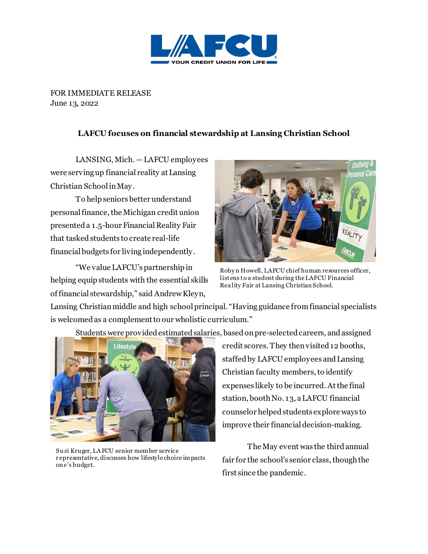

FOR IMMEDIATE RELEASE June 13, 2022

## **LAFCU focuses on financial stewardship at Lansing Christian School**

LANSING, Mich. — LAFCU employees were serving up financial reality at Lansing Christian School in May.

To help seniors better understand personal finance, the Michigan credit union presented a 1.5-hour Financial Reality Fair that tasked students to create real-life financial budgets for living independently.

"We value LAFCU's partnership in helping equip students with the essential skills of financial stewardship," said Andrew Kleyn,



Roby n Howell, LAFCU chief human resources officer, listens to a student during the LAFCU Financial Rea lity Fair at Lansing Christian School.

Lansing Christian middle and high school principal. "Having guidance from financial specialists is welcomed as a complement to our wholistic curriculum."

Lifestvl

Students were provided estimated salaries, based on pre-selected careers, andassigned

credit scores. They then visited 12 booths, staffed by LAFCU employees and Lansing Christian faculty members,to identify expenses likely to be incurred. At the final station, booth No. 13, a LAFCU financial counselor helpedstudents explore ways to improve their financial decision-making.

The May event was the third annual fair for the school's senior class, though the first since the pandemic.

Su zi Kruger, LA FCU senior member service r epresentative, discusses how lifestyle choice impacts on e's budget.